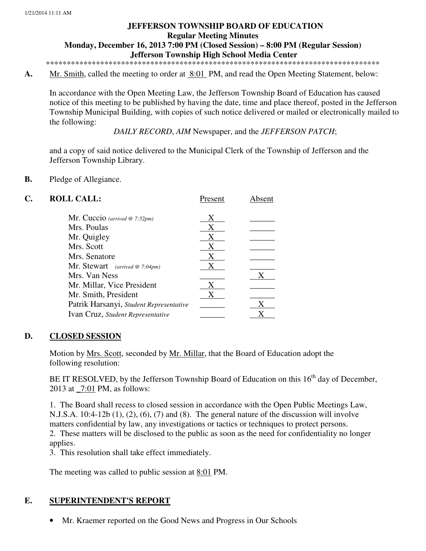# **JEFFERSON TOWNSHIP BOARD OF EDUCATION Regular Meeting Minutes Monday, December 16, 2013 7:00 PM (Closed Session) – 8:00 PM (Regular Session) Jefferson Township High School Media Center**

\*\*\*\*\*\*\*\*\*\*\*\*\*\*\*\*\*\*\*\*\*\*\*\*\*\*\*\*\*\*\*\*\*\*\*\*\*\*\*\*\*\*\*\*\*\*\*\*\*\*\*\*\*\*\*\*\*\*\*\*\*\*\*\*\*\*\*\*\*\*\*\*\*\*\*\*\*\*\*\*

A. Mr. Smith, called the meeting to order at <u>8:01</u> PM, and read the Open Meeting Statement, below:

In accordance with the Open Meeting Law, the Jefferson Township Board of Education has caused notice of this meeting to be published by having the date, time and place thereof, posted in the Jefferson Township Municipal Building, with copies of such notice delivered or mailed or electronically mailed to the following:

*DAILY RECORD*, *AIM* Newspaper, and the *JEFFERSON PATCH*;

and a copy of said notice delivered to the Municipal Clerk of the Township of Jefferson and the Jefferson Township Library.

#### **B.** Pledge of Allegiance.

| <b>ROLL CALL:</b>                        | Present | Absent |
|------------------------------------------|---------|--------|
| Mr. Cuccio (arrived @ 7:52pm)            | X       |        |
| Mrs. Poulas                              | X       |        |
| Mr. Quigley                              | X       |        |
| Mrs. Scott                               | X       |        |
| Mrs. Senatore                            | X       |        |
| <b>Mr.</b> Stewart (arrived $@ 7:04pm$ ) | X       |        |
| Mrs. Van Ness                            |         | X      |
| Mr. Millar, Vice President               | X       |        |
| Mr. Smith, President                     |         |        |
| Patrik Harsanyi, Student Representative  |         |        |
| Ivan Cruz, Student Representative        |         |        |
|                                          |         |        |

# **D. CLOSED SESSION**

Motion by Mrs. Scott, seconded by Mr. Millar, that the Board of Education adopt the following resolution:

BE IT RESOLVED, by the Jefferson Township Board of Education on this  $16<sup>th</sup>$  day of December, 2013 at \_7:01 PM, as follows:

 1. The Board shall recess to closed session in accordance with the Open Public Meetings Law, N.J.S.A.  $10:4-12b(1)$ ,  $(2)$ ,  $(6)$ ,  $(7)$  and  $(8)$ . The general nature of the discussion will involve matters confidential by law, any investigations or tactics or techniques to protect persons. 2. These matters will be disclosed to the public as soon as the need for confidentiality no longer applies.

3. This resolution shall take effect immediately.

The meeting was called to public session at 8:01 PM.

# **E. SUPERINTENDENT'S REPORT**

• Mr. Kraemer reported on the Good News and Progress in Our Schools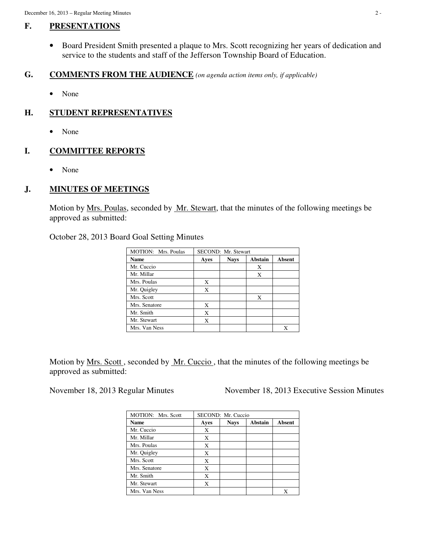# **F. PRESENTATIONS**

• Board President Smith presented a plaque to Mrs. Scott recognizing her years of dedication and service to the students and staff of the Jefferson Township Board of Education.

### **G. COMMENTS FROM THE AUDIENCE** *(on agenda action items only, if applicable)*

• None

# **H. STUDENT REPRESENTATIVES**

• None

### **I. COMMITTEE REPORTS**

• None

# **J. MINUTES OF MEETINGS**

Motion by <u>Mrs. Poulas</u>, seconded by <u>Mr. Stewart</u>, that the minutes of the following meetings be approved as submitted:

October 28, 2013 Board Goal Setting Minutes

| MOTION: Mrs. Poulas | SECOND: Mr. Stewart |             |                |        |  |
|---------------------|---------------------|-------------|----------------|--------|--|
| <b>Name</b>         | Ayes                | <b>Nays</b> | <b>Abstain</b> | Absent |  |
| Mr. Cuccio          |                     |             | X              |        |  |
| Mr. Millar          |                     |             | X              |        |  |
| Mrs. Poulas         | X                   |             |                |        |  |
| Mr. Quigley         | X                   |             |                |        |  |
| Mrs. Scott          |                     |             | X              |        |  |
| Mrs. Senatore       | X                   |             |                |        |  |
| Mr. Smith           | X                   |             |                |        |  |
| Mr. Stewart         | X                   |             |                |        |  |
| Mrs. Van Ness       |                     |             |                | Х      |  |

Motion by Mrs. Scott , seconded by Mr. Cuccio , that the minutes of the following meetings be approved as submitted:

November 18, 2013 Regular Minutes November 18, 2013 Executive Session Minutes

| MOTION: Mrs. Scott | SECOND: Mr. Cuccio |        |  |   |  |  |
|--------------------|--------------------|--------|--|---|--|--|
| <b>Name</b>        | Ayes               | Absent |  |   |  |  |
| Mr. Cuccio         | X                  |        |  |   |  |  |
| Mr. Millar         | X                  |        |  |   |  |  |
| Mrs. Poulas        | X                  |        |  |   |  |  |
| Mr. Quigley        | X                  |        |  |   |  |  |
| Mrs. Scott         | X                  |        |  |   |  |  |
| Mrs. Senatore      | X                  |        |  |   |  |  |
| Mr. Smith          | X                  |        |  |   |  |  |
| Mr. Stewart        | X                  |        |  |   |  |  |
| Mrs. Van Ness      |                    |        |  | X |  |  |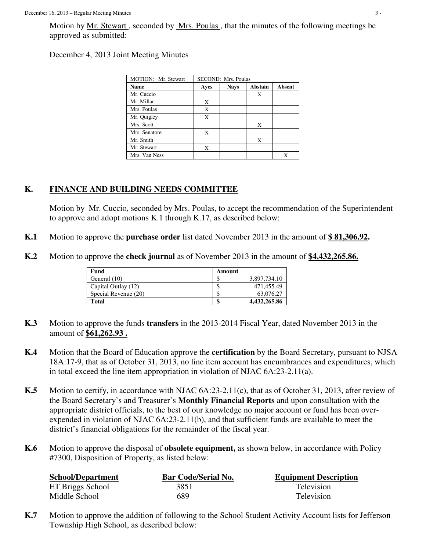Motion by Mr. Stewart, seconded by Mrs. Poulas, that the minutes of the following meetings be approved as submitted:

# December 4, 2013 Joint Meeting Minutes

| MOTION: Mr. Stewart | SECOND: Mrs. Poulas |             |         |        |  |  |
|---------------------|---------------------|-------------|---------|--------|--|--|
| <b>Name</b>         | Ayes                | <b>Nays</b> | Abstain | Absent |  |  |
| Mr. Cuccio          |                     |             | X       |        |  |  |
| Mr. Millar          | Х                   |             |         |        |  |  |
| Mrs. Poulas         | X                   |             |         |        |  |  |
| Mr. Quigley         | X                   |             |         |        |  |  |
| Mrs. Scott          |                     |             | X       |        |  |  |
| Mrs. Senatore       | X                   |             |         |        |  |  |
| Mr. Smith           |                     |             | X       |        |  |  |
| Mr. Stewart         | X                   |             |         |        |  |  |
| Mrs. Van Ness       |                     |             |         |        |  |  |

# **K. FINANCE AND BUILDING NEEDS COMMITTEE**

 Motion by Mr. Cuccio, seconded by Mrs. Poulas, to accept the recommendation of the Superintendent to approve and adopt motions K.1 through K.17, as described below:

- **K.1** Motion to approve the **purchase order** list dated November 2013 in the amount of **\$ 81,306.92.**
- **K.2** Motion to approve the **check journal** as of November 2013 in the amount of **\$4,432,265.86.**

| Fund                 | Amount |              |
|----------------------|--------|--------------|
| General (10)         |        | 3,897,734.10 |
| Capital Outlay (12)  | ٩      | 471.455.49   |
| Special Revenue (20) | ۰D     | 63,076.27    |
| <b>Total</b>         | \$     | 4,432,265.86 |

- **K.3** Motion to approve the funds **transfers** in the 2013-2014 Fiscal Year, dated November 2013 in the amount of **\$61,262.93 .**
- **K.4** Motion that the Board of Education approve the **certification** by the Board Secretary, pursuant to NJSA 18A:17-9, that as of October 31, 2013, no line item account has encumbrances and expenditures, which in total exceed the line item appropriation in violation of NJAC 6A:23-2.11(a).
- **K.5** Motion to certify, in accordance with NJAC 6A:23-2.11(c), that as of October 31, 2013, after review of the Board Secretary's and Treasurer's **Monthly Financial Reports** and upon consultation with the appropriate district officials, to the best of our knowledge no major account or fund has been overexpended in violation of NJAC 6A:23-2.11(b), and that sufficient funds are available to meet the district's financial obligations for the remainder of the fiscal year.
- **K.6** Motion to approve the disposal of **obsolete equipment,** as shown below, in accordance with Policy #7300, Disposition of Property, as listed below:

| <b>School/Department</b> | <b>Bar Code/Serial No.</b> | <b>Equipment Description</b> |
|--------------------------|----------------------------|------------------------------|
| ET Briggs School         | 3851                       | Television                   |
| Middle School            | 689                        | Television                   |

**K.7** Motion to approve the addition of following to the School Student Activity Account lists for Jefferson Township High School, as described below: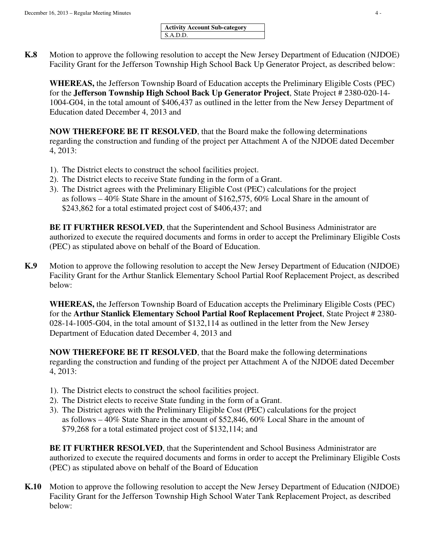| <b>Activity Account Sub-category</b> |  |
|--------------------------------------|--|
| S.A.D.D.                             |  |

**K.8** Motion to approve the following resolution to accept the New Jersey Department of Education (NJDOE) Facility Grant for the Jefferson Township High School Back Up Generator Project, as described below:

**WHEREAS,** the Jefferson Township Board of Education accepts the Preliminary Eligible Costs (PEC) for the **Jefferson Township High School Back Up Generator Project**, State Project # 2380-020-14- 1004-G04, in the total amount of \$406,437 as outlined in the letter from the New Jersey Department of Education dated December 4, 2013 and

**NOW THEREFORE BE IT RESOLVED**, that the Board make the following determinations regarding the construction and funding of the project per Attachment A of the NJDOE dated December 4, 2013:

- 1). The District elects to construct the school facilities project.
- 2). The District elects to receive State funding in the form of a Grant.
- 3). The District agrees with the Preliminary Eligible Cost (PEC) calculations for the project as follows – 40% State Share in the amount of \$162,575, 60% Local Share in the amount of \$243,862 for a total estimated project cost of \$406,437; and

**BE IT FURTHER RESOLVED**, that the Superintendent and School Business Administrator are authorized to execute the required documents and forms in order to accept the Preliminary Eligible Costs (PEC) as stipulated above on behalf of the Board of Education.

**K.9** Motion to approve the following resolution to accept the New Jersey Department of Education (NJDOE) Facility Grant for the Arthur Stanlick Elementary School Partial Roof Replacement Project, as described below:

**WHEREAS,** the Jefferson Township Board of Education accepts the Preliminary Eligible Costs (PEC) for the **Arthur Stanlick Elementary School Partial Roof Replacement Project**, State Project # 2380- 028-14-1005-G04, in the total amount of \$132,114 as outlined in the letter from the New Jersey Department of Education dated December 4, 2013 and

**NOW THEREFORE BE IT RESOLVED**, that the Board make the following determinations regarding the construction and funding of the project per Attachment A of the NJDOE dated December 4, 2013:

- 1). The District elects to construct the school facilities project.
- 2). The District elects to receive State funding in the form of a Grant.
- 3). The District agrees with the Preliminary Eligible Cost (PEC) calculations for the project as follows – 40% State Share in the amount of \$52,846, 60% Local Share in the amount of \$79,268 for a total estimated project cost of \$132,114; and

**BE IT FURTHER RESOLVED**, that the Superintendent and School Business Administrator are authorized to execute the required documents and forms in order to accept the Preliminary Eligible Costs (PEC) as stipulated above on behalf of the Board of Education

**K.10** Motion to approve the following resolution to accept the New Jersey Department of Education (NJDOE) Facility Grant for the Jefferson Township High School Water Tank Replacement Project, as described below: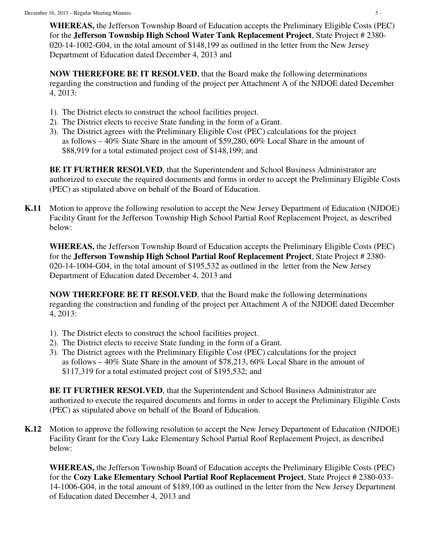**WHEREAS,** the Jefferson Township Board of Education accepts the Preliminary Eligible Costs (PEC) for the **Jefferson Township High School Water Tank Replacement Project**, State Project # 2380- 020-14-1002-G04, in the total amount of \$148,199 as outlined in the letter from the New Jersey Department of Education dated December 4, 2013 and

**NOW THEREFORE BE IT RESOLVED**, that the Board make the following determinations regarding the construction and funding of the project per Attachment A of the NJDOE dated December 4, 2013:

- 1). The District elects to construct the school facilities project.
- 2). The District elects to receive State funding in the form of a Grant.
- 3). The District agrees with the Preliminary Eligible Cost (PEC) calculations for the project as follows – 40% State Share in the amount of \$59,280, 60% Local Share in the amount of \$88,919 for a total estimated project cost of \$148,199; and

**BE IT FURTHER RESOLVED**, that the Superintendent and School Business Administrator are authorized to execute the required documents and forms in order to accept the Preliminary Eligible Costs (PEC) as stipulated above on behalf of the Board of Education.

**K.11** Motion to approve the following resolution to accept the New Jersey Department of Education (NJDOE) Facility Grant for the Jefferson Township High School Partial Roof Replacement Project, as described below:

**WHEREAS,** the Jefferson Township Board of Education accepts the Preliminary Eligible Costs (PEC) for the **Jefferson Township High School Partial Roof Replacement Project**, State Project # 2380- 020-14-1004-G04, in the total amount of \$195,532 as outlined in the letter from the New Jersey Department of Education dated December 4, 2013 and

**NOW THEREFORE BE IT RESOLVED**, that the Board make the following determinations regarding the construction and funding of the project per Attachment A of the NJDOE dated December 4, 2013:

- 1). The District elects to construct the school facilities project.
- 2). The District elects to receive State funding in the form of a Grant.
- 3). The District agrees with the Preliminary Eligible Cost (PEC) calculations for the project as follows – 40% State Share in the amount of \$78,213, 60% Local Share in the amount of \$117,319 for a total estimated project cost of \$195,532; and

**BE IT FURTHER RESOLVED**, that the Superintendent and School Business Administrator are authorized to execute the required documents and forms in order to accept the Preliminary Eligible Costs (PEC) as stipulated above on behalf of the Board of Education.

**K.12** Motion to approve the following resolution to accept the New Jersey Department of Education (NJDOE) Facility Grant for the Cozy Lake Elementary School Partial Roof Replacement Project, as described below:

**WHEREAS,** the Jefferson Township Board of Education accepts the Preliminary Eligible Costs (PEC) for the **Cozy Lake Elementary School Partial Roof Replacement Project**, State Project # 2380-033- 14-1006-G04, in the total amount of \$189,100 as outlined in the letter from the New Jersey Department of Education dated December 4, 2013 and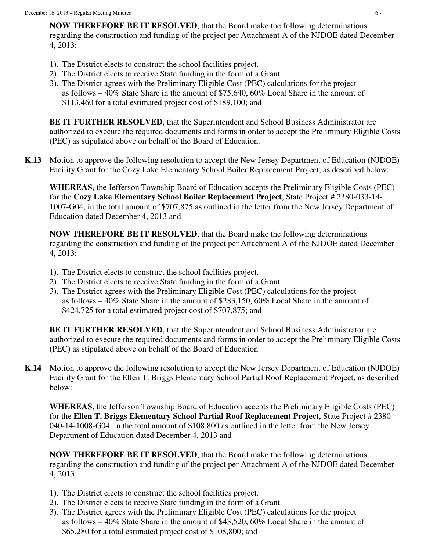**NOW THEREFORE BE IT RESOLVED**, that the Board make the following determinations regarding the construction and funding of the project per Attachment A of the NJDOE dated December 4, 2013:

- 1). The District elects to construct the school facilities project.
- 2). The District elects to receive State funding in the form of a Grant.
- 3). The District agrees with the Preliminary Eligible Cost (PEC) calculations for the project as follows – 40% State Share in the amount of \$75,640, 60% Local Share in the amount of \$113,460 for a total estimated project cost of \$189,100; and

**BE IT FURTHER RESOLVED, that the Superintendent and School Business Administrator are** authorized to execute the required documents and forms in order to accept the Preliminary Eligible Costs (PEC) as stipulated above on behalf of the Board of Education.

**K.13** Motion to approve the following resolution to accept the New Jersey Department of Education (NJDOE) Facility Grant for the Cozy Lake Elementary School Boiler Replacement Project, as described below:

**WHEREAS,** the Jefferson Township Board of Education accepts the Preliminary Eligible Costs (PEC) for the **Cozy Lake Elementary School Boiler Replacement Project**, State Project # 2380-033-14- 1007-G04, in the total amount of \$707,875 as outlined in the letter from the New Jersey Department of Education dated December 4, 2013 and

**NOW THEREFORE BE IT RESOLVED**, that the Board make the following determinations regarding the construction and funding of the project per Attachment A of the NJDOE dated December 4, 2013:

- 1). The District elects to construct the school facilities project.
- 2). The District elects to receive State funding in the form of a Grant.
- 3). The District agrees with the Preliminary Eligible Cost (PEC) calculations for the project as follows – 40% State Share in the amount of \$283,150, 60% Local Share in the amount of \$424,725 for a total estimated project cost of \$707,875; and

 **BE IT FURTHER RESOLVED**, that the Superintendent and School Business Administrator are authorized to execute the required documents and forms in order to accept the Preliminary Eligible Costs (PEC) as stipulated above on behalf of the Board of Education

**K.14** Motion to approve the following resolution to accept the New Jersey Department of Education (NJDOE) Facility Grant for the Ellen T. Briggs Elementary School Partial Roof Replacement Project, as described below:

**WHEREAS,** the Jefferson Township Board of Education accepts the Preliminary Eligible Costs (PEC) for the **Ellen T. Briggs Elementary School Partial Roof Replacement Project**, State Project # 2380- 040-14-1008-G04, in the total amount of \$108,800 as outlined in the letter from the New Jersey Department of Education dated December 4, 2013 and

**NOW THEREFORE BE IT RESOLVED**, that the Board make the following determinations regarding the construction and funding of the project per Attachment A of the NJDOE dated December 4, 2013:

- 1). The District elects to construct the school facilities project.
- 2). The District elects to receive State funding in the form of a Grant.
- 3). The District agrees with the Preliminary Eligible Cost (PEC) calculations for the project as follows – 40% State Share in the amount of \$43,520, 60% Local Share in the amount of \$65,280 for a total estimated project cost of \$108,800; and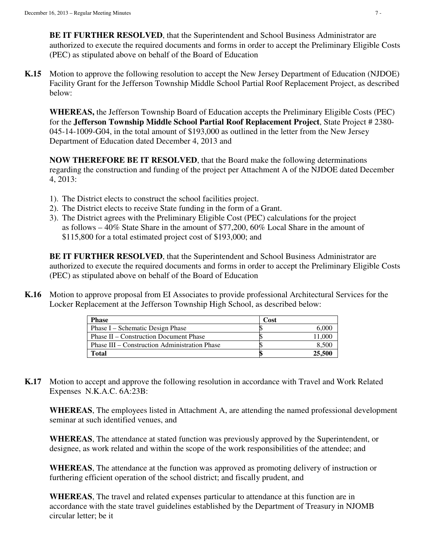**BE IT FURTHER RESOLVED**, that the Superintendent and School Business Administrator are authorized to execute the required documents and forms in order to accept the Preliminary Eligible Costs (PEC) as stipulated above on behalf of the Board of Education

**K.15** Motion to approve the following resolution to accept the New Jersey Department of Education (NJDOE) Facility Grant for the Jefferson Township Middle School Partial Roof Replacement Project, as described below:

**WHEREAS,** the Jefferson Township Board of Education accepts the Preliminary Eligible Costs (PEC) for the **Jefferson Township Middle School Partial Roof Replacement Project**, State Project # 2380- 045-14-1009-G04, in the total amount of \$193,000 as outlined in the letter from the New Jersey Department of Education dated December 4, 2013 and

**NOW THEREFORE BE IT RESOLVED**, that the Board make the following determinations regarding the construction and funding of the project per Attachment A of the NJDOE dated December 4, 2013:

- 1). The District elects to construct the school facilities project.
- 2). The District elects to receive State funding in the form of a Grant.
- 3). The District agrees with the Preliminary Eligible Cost (PEC) calculations for the project as follows – 40% State Share in the amount of \$77,200, 60% Local Share in the amount of \$115,800 for a total estimated project cost of \$193,000; and

 **BE IT FURTHER RESOLVED**, that the Superintendent and School Business Administrator are authorized to execute the required documents and forms in order to accept the Preliminary Eligible Costs (PEC) as stipulated above on behalf of the Board of Education

**K.16** Motion to approve proposal from EI Associates to provide professional Architectural Services for the Locker Replacement at the Jefferson Township High School, as described below:

| <b>Phase</b>                                         | Cost |        |
|------------------------------------------------------|------|--------|
| Phase I – Schematic Design Phase                     |      | 6.000  |
| <b>Phase II – Construction Document Phase</b>        |      | 11.000 |
| <b>Phase III – Construction Administration Phase</b> |      | 8.500  |
| <b>Total</b>                                         |      | 25,500 |

**K.17** Motion to accept and approve the following resolution in accordance with Travel and Work Related Expenses N.K.A.C. 6A:23B:

**WHEREAS**, The employees listed in Attachment A, are attending the named professional development seminar at such identified venues, and

**WHEREAS**, The attendance at stated function was previously approved by the Superintendent, or designee, as work related and within the scope of the work responsibilities of the attendee; and

**WHEREAS**, The attendance at the function was approved as promoting delivery of instruction or furthering efficient operation of the school district; and fiscally prudent, and

**WHEREAS**, The travel and related expenses particular to attendance at this function are in accordance with the state travel guidelines established by the Department of Treasury in NJOMB circular letter; be it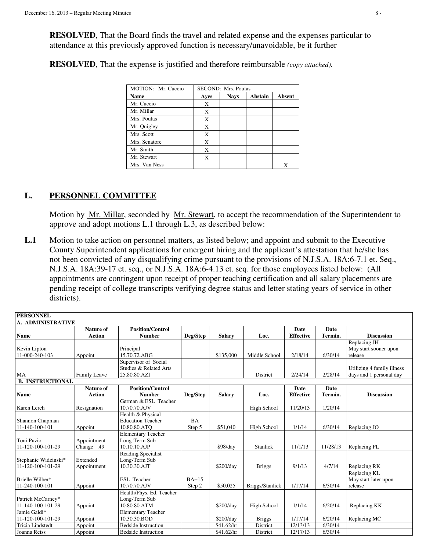**RESOLVED**, That the Board finds the travel and related expense and the expenses particular to attendance at this previously approved function is necessary/unavoidable, be it further

**RESOLVED**, That the expense is justified and therefore reimbursable *(copy attached).* 

| MOTION: Mr. Cuccio | SECOND: Mrs. Poulas |             |         |        |
|--------------------|---------------------|-------------|---------|--------|
| <b>Name</b>        | Ayes                | <b>Nays</b> | Abstain | Absent |
| Mr. Cuccio         | X                   |             |         |        |
| Mr. Millar         | X                   |             |         |        |
| Mrs. Poulas        | X                   |             |         |        |
| Mr. Quigley        | X                   |             |         |        |
| Mrs. Scott         | X                   |             |         |        |
| Mrs. Senatore      | X                   |             |         |        |
| Mr. Smith          | X                   |             |         |        |
| Mr. Stewart        | Х                   |             |         |        |
| Mrs. Van Ness      |                     |             |         | Χ      |

# **L. PERSONNEL COMMITTEE**

Motion by Mr. Millar, seconded by Mr. Stewart, to accept the recommendation of the Superintendent to approve and adopt motions L.1 through L.3, as described below:

**L.1** Motion to take action on personnel matters, as listed below; and appoint and submit to the Executive County Superintendent applications for emergent hiring and the applicant's attestation that he/she has not been convicted of any disqualifying crime pursuant to the provisions of N.J.S.A. 18A:6-7.1 et. Seq., N.J.S.A. 18A:39-17 et. seq., or N.J.S.A. 18A:6-4.13 et. seq. for those employees listed below: (All appointments are contingent upon receipt of proper teaching certification and all salary placements are pending receipt of college transcripts verifying degree status and letter stating years of service in other districts).

| <b>PERSONNEL</b>                  |                  |                                               |           |               |                 |                  |             |                            |
|-----------------------------------|------------------|-----------------------------------------------|-----------|---------------|-----------------|------------------|-------------|----------------------------|
| A. ADMINISTRATIVE                 |                  |                                               |           |               |                 |                  |             |                            |
|                                   | <b>Nature of</b> | <b>Position/Control</b>                       |           |               |                 | Date             | <b>Date</b> |                            |
| <b>Name</b>                       | <b>Action</b>    | <b>Number</b>                                 | Deg/Step  | <b>Salary</b> | Loc.            | <b>Effective</b> | Termin.     | <b>Discussion</b>          |
|                                   |                  |                                               |           |               |                 |                  |             | Replacing JH               |
| Kevin Lipton                      |                  | Principal                                     |           |               |                 |                  |             | May start sooner upon      |
| 11-000-240-103                    | Appoint          | 15.70.72.ABG                                  |           | \$135,000     | Middle School   | 2/18/14          | 6/30/14     | release                    |
|                                   |                  | Supervisor of Social                          |           |               |                 |                  |             |                            |
|                                   |                  | Studies & Related Arts                        |           |               |                 |                  |             | Utilizing 4 family illness |
| MA                                | Family Leave     | 25.80.80.AZI                                  |           |               | District        | 2/24/14          | 2/28/14     | days and 1 personal day    |
| <b>B. INSTRUCTIONAL</b>           |                  |                                               |           |               |                 |                  |             |                            |
|                                   | <b>Nature of</b> | <b>Position/Control</b>                       |           |               |                 | Date             | Date        |                            |
| Name                              | <b>Action</b>    | <b>Number</b>                                 | Deg/Step  | <b>Salary</b> | Loc.            | <b>Effective</b> | Termin.     | <b>Discussion</b>          |
|                                   |                  | German & ESL Teacher                          |           |               |                 |                  |             |                            |
| Karen Lerch                       | Resignation      | 10.70.70.AJV                                  |           |               | High School     | 11/20/13         | 1/20/14     |                            |
|                                   |                  | Health & Physical<br><b>Education Teacher</b> | <b>BA</b> |               |                 |                  |             |                            |
| Shannon Chapman<br>11-140-100-101 |                  | 10.80.80.ATO                                  |           | \$51,040      |                 | 1/1/14           | 6/30/14     |                            |
|                                   | Appoint          |                                               | Step 5    |               | High School     |                  |             | Replacing JO               |
| Toni Puzio                        | Appointment      | <b>Elementary Teacher</b><br>Long-Term Sub    |           |               |                 |                  |             |                            |
| 11-120-100-101-29                 | Change .49       | 10.10.10.AJP                                  |           | \$98/day      | <b>Stanlick</b> | 11/1/13          | 11/28/13    | Replacing PL               |
|                                   |                  | Reading Specialist                            |           |               |                 |                  |             |                            |
| Stephanie Widzinski*              | Extended         | Long-Term Sub                                 |           |               |                 |                  |             |                            |
| 11-120-100-101-29                 | Appointment      | 10.30.30.AJT                                  |           | \$200/day     | <b>Briggs</b>   | 9/1/13           | 4/7/14      | Replacing RK               |
|                                   |                  |                                               |           |               |                 |                  |             | Replacing KL               |
| Brielle Wilber*                   |                  | <b>ESL</b> Teacher                            | $BA+15$   |               |                 |                  |             | May start later upon       |
| 11-240-100-101                    | Appoint          | 10.70.70.AJV                                  | Step 2    | \$50,025      | Briggs/Stanlick | 1/17/14          | 6/30/14     | release                    |
|                                   |                  | Health/Phys. Ed. Teacher                      |           |               |                 |                  |             |                            |
| Patrick McCarney*                 |                  | Long-Term Sub                                 |           |               |                 |                  |             |                            |
| 11-140-100-101-29                 | Appoint          | 10.80.80.ATM                                  |           | \$200/day     | High School     | 1/1/14           | 6/20/14     | Replacing KK               |
| Jamie Galdi*                      |                  | <b>Elementary Teacher</b>                     |           |               |                 |                  |             |                            |
| 11-120-100-101-29                 | Appoint          | 10.30.30.BOD                                  |           | \$200/day     | <b>Briggs</b>   | 1/17/14          | 6/20/14     | Replacing MC               |
| <b>Tricia</b> Lindstedt           | Appoint          | <b>Bedside Instruction</b>                    |           | \$41.62/hr    | District        | 12/13/13         | 6/30/14     |                            |
| Joanna Reiss                      | Appoint          | <b>Bedside Instruction</b>                    |           | \$41.62/hr    | District        | 12/17/13         | 6/30/14     |                            |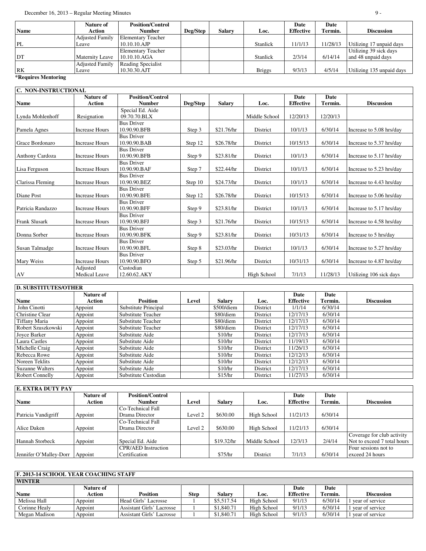| <b>Nature of</b>       | <b>Position/Control</b>   |          |               |                 | Date             | Date     |                           |
|------------------------|---------------------------|----------|---------------|-----------------|------------------|----------|---------------------------|
| Action                 | <b>Number</b>             | Deg/Step | <b>Salary</b> | Loc.            | <b>Effective</b> | Termin.  | <b>Discussion</b>         |
| <b>Adjusted Family</b> | <b>Elementary Teacher</b> |          |               |                 |                  |          |                           |
| Leave                  | $10.10.10.$ AJP           |          |               | <b>Stanlick</b> | 11/1/13          | 11/28/13 | Utilizing 17 unpaid days  |
|                        | <b>Elementary Teacher</b> |          |               |                 |                  |          | Utilizing 39 sick days    |
| <b>Maternity Leave</b> | 10.10.10.AGA              |          |               | <b>Stanlick</b> | 2/3/14           | 6/14/14  | and 48 unpaid days        |
| <b>Adjusted Family</b> | Reading Specialist        |          |               |                 |                  |          |                           |
| Leave                  | 10.30.30.AJT              |          |               | <b>Briggs</b>   | 9/3/13           | 4/5/14   | Utilizing 135 unpaid days |
|                        |                           |          |               |                 |                  |          |                           |

#### **\*Requires Mentoring**

| C. NON-INSTRUCTIONAL |                                   |                                          |          |               |               |                          |                 |                          |  |
|----------------------|-----------------------------------|------------------------------------------|----------|---------------|---------------|--------------------------|-----------------|--------------------------|--|
| <b>Name</b>          | <b>Nature of</b><br><b>Action</b> | <b>Position/Control</b><br><b>Number</b> | Deg/Step | <b>Salary</b> | Loc.          | Date<br><b>Effective</b> | Date<br>Termin. | <b>Discussion</b>        |  |
| Lynda Mohlenhoff     | Resignation                       | Special Ed. Aide<br>09.70.70.BLX         |          |               | Middle School | 12/20/13                 | 12/20/13        |                          |  |
| Pamela Agnes         | <b>Increase Hours</b>             | <b>Bus Driver</b><br>10.90.90.BFB        | Step 3   | \$21.76/hr    | District      | 10/1/13                  | 6/30/14         | Increase to 5.08 hrs/day |  |
| Grace Bordonaro      | <b>Increase Hours</b>             | <b>Bus Driver</b><br>10.90.90.BAB        | Step 12  | \$26.78/hr    | District      | 10/15/13                 | 6/30/14         | Increase to 5.37 hrs/day |  |
| Anthony Cardoza      | <b>Increase Hours</b>             | <b>Bus Driver</b><br>10.90.90.BFB        | Step 9   | \$23.81/hr    | District      | 10/1/13                  | 6/30/14         | Increase to 5.17 hrs/day |  |
| Lisa Ferguson        | <b>Increase Hours</b>             | <b>Bus Driver</b><br>10.90.90.BAF        | Step 7   | \$22.44/hr    | District      | 10/1/13                  | 6/30/14         | Increase to 5.23 hrs/day |  |
| Clarissa Fleming     | <b>Increase Hours</b>             | <b>Bus Driver</b><br>10.90.90.BEZ        | Step 10  | \$24.73/hr    | District      | 10/1/13                  | 6/30/14         | Increase to 4.43 hrs/day |  |
| Diane Post           | <b>Increase Hours</b>             | <b>Bus Driver</b><br>10.90.90.BFE        | Step 12  | \$26.78/hr    | District      | 10/15/13                 | 6/30/14         | Increase to 5.06 hrs/day |  |
| Patricia Randazzo    | <b>Increase Hours</b>             | <b>Bus Driver</b><br>10.90.90.BFF        | Step 9   | \$23.81/hr    | District      | 10/1/13                  | 6/30/14         | Increase to 5.17 hrs/day |  |
| Frank Slusark        | <b>Increase Hours</b>             | <b>Bus Driver</b><br>10.90.90.BFJ        | Step 3   | \$21.76/hr    | District      | 10/15/13                 | 6/30/14         | Increase to 4.58 hrs/day |  |
| Donna Sorber         | <b>Increase Hours</b>             | <b>Bus Driver</b><br>10.90.90.BFK        | Step 9   | \$23.81/hr    | District      | 10/31/13                 | 6/30/14         | Increase to 5 hrs/day    |  |
| Susan Talmadge       | <b>Increase Hours</b>             | <b>Bus Driver</b><br>10.90.90.BFL        | Step 8   | \$23.03/hr    | District      | 10/1/13                  | 6/30/14         | Increase to 5.27 hrs/day |  |
| Mary Weiss           | <b>Increase Hours</b>             | <b>Bus Driver</b><br>10.90.90.BFO        | Step 5   | \$21.96/hr    | District      | 10/31/13                 | 6/30/14         | Increase to 4.87 hrs/day |  |
| AV                   | Adjusted<br><b>Medical Leave</b>  | Custodian<br>12.60.62.AKY                |          |               | High School   | 7/1/13                   | 11/28/13        | Utilizing 106 sick days  |  |

#### **D. SUBSTITUTES/OTHER**

|                        | Nature of |                      |       |               |          | Date             | Date    |                   |
|------------------------|-----------|----------------------|-------|---------------|----------|------------------|---------|-------------------|
| <b>Name</b>            | Action    | <b>Position</b>      | Level | <b>Salary</b> | Loc.     | <b>Effective</b> | Termin. | <b>Discussion</b> |
| John Cinotti           | Appoint   | Substitute Principal |       | \$500/diem    | District | 1/1/14           | 6/30/14 |                   |
| Christine Clear        | Appoint   | Substitute Teacher   |       | \$80/diem     | District | 12/17/13         | 6/30/14 |                   |
| Tiffany Maria          | Appoint   | Substitute Teacher   |       | \$80/diem     | District | 12/17/13         | 6/30/14 |                   |
| Robert Szuszkowski     | Appoint   | Substitute Teacher   |       | \$80/diem     | District | 12/17/13         | 6/30/14 |                   |
| Joyce Barker           | Appoint   | Substitute Aide      |       | \$10/hr       | District | 12/17/13         | 6/30/14 |                   |
| Laura Castles          | Appoint   | Substitute Aide      |       | \$10/hr       | District | 11/19/13         | 6/30/14 |                   |
| Michelle Craig         | Appoint   | Substitute Aide      |       | \$10/hr       | District | 11/26/13         | 6/30/14 |                   |
| Rebecca Rowe           | Appoint   | Substitute Aide      |       | \$10/hr       | District | 12/12/13         | 6/30/14 |                   |
| Noreen Teklits         | Appoint   | Substitute Aide      |       | \$10/hr       | District | 12/12/13         | 6/30/14 |                   |
| Suzanne Walters        | Appoint   | Substitute Aide      |       | \$10/hr       | District | 12/17/13         | 6/30/14 |                   |
| <b>Robert Connelly</b> | Appoint   | Substitute Custodian |       | \$15/hr       | District | 11/27/13         | 6/30/14 |                   |

| <b>E. EXTRA DUTY PAY</b> |           |                            |         |               |               |                  |         |                             |
|--------------------------|-----------|----------------------------|---------|---------------|---------------|------------------|---------|-----------------------------|
|                          | Nature of | <b>Position/Control</b>    |         |               |               | Date             | Date    |                             |
| <b>Name</b>              | Action    | <b>Number</b>              | Level   | <b>Salary</b> | Loc.          | <b>Effective</b> | Termin. | <b>Discussion</b>           |
|                          |           | Co-Technical Fall          |         |               |               |                  |         |                             |
| Patricia Vandigriff      | Appoint   | Drama Director             | Level 2 | \$630.00      | High School   | 11/21/13         | 6/30/14 |                             |
|                          |           | Co-Technical Fall          |         |               |               |                  |         |                             |
| Alice Daken              | Appoint   | Drama Director             | Level 2 | \$630.00      | High School   | 11/21/13         | 6/30/14 |                             |
|                          |           |                            |         |               |               |                  |         | Coverage for club activity  |
| Hannah Storbeck          | Appoint   | Special Ed. Aide           |         | \$19.32/hr    | Middle School | 12/3/13          | 2/4/14  | Not to exceed 7 total hours |
|                          |           | <b>CPR/AED</b> Instruction |         |               |               |                  |         | Four sessions not to        |
| Jennifer O'Malley-Dorr   | Appoint   | Certification              |         | \$75/hr       | District      | 7/1/13           | 6/30/14 | exceed 24 hours             |

### **F. 2013-14 SCHOOL YEAR COACHING STAFF**

| <b>WINTER</b> |           |                           |      |               |             |                  |         |                   |  |  |
|---------------|-----------|---------------------------|------|---------------|-------------|------------------|---------|-------------------|--|--|
|               | Nature of |                           |      |               |             | Date             | Date    |                   |  |  |
| Name          | Action    | Position                  | Step | <b>Salary</b> | Loc.        | <b>Effective</b> | Termin. | <b>Discussion</b> |  |  |
| Melissa Hall  | Appoint   | Head Girls' Lacrosse      |      | \$5.517.54    | High School | 9/1/13           | 6/30/14 | vear of service   |  |  |
| Corinne Healv | Appoint   | Assistant Girls' Lacrosse |      | \$1.840.71    | High School | 9/1/13           | 6/30/14 | vear of service   |  |  |
| Megan Madison | Appoint   | Assistant Girls' Lacrosse |      | 1.840.71      | High School | 9/1/13           | 6/30/14 | vear of service   |  |  |

٦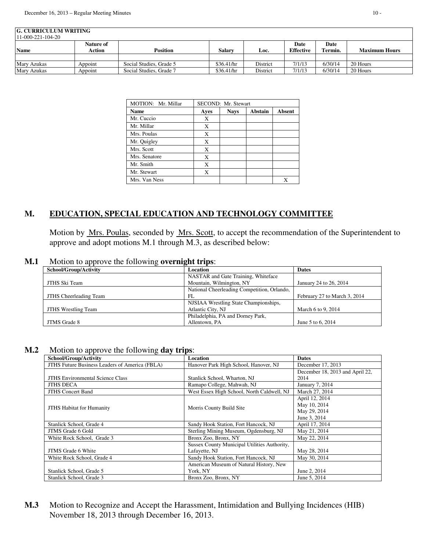| <b>G. CURRICULUM WRITING</b><br>$11-000-221-104-20$ |                            |                         |            |          |                          |                 |                      |  |  |
|-----------------------------------------------------|----------------------------|-------------------------|------------|----------|--------------------------|-----------------|----------------------|--|--|
| <b>Name</b>                                         | <b>Nature of</b><br>Action | Position                | Salarv     | Loc.     | Date<br><b>Effective</b> | Date<br>Termin. | <b>Maximum Hours</b> |  |  |
|                                                     |                            |                         |            |          |                          |                 |                      |  |  |
| <b>Mary Azukas</b>                                  | Appoint                    | Social Studies, Grade 5 | \$36.41/hr | District | 7/1/13                   | 6/30/14         | 20 Hours             |  |  |
| Mary Azukas                                         | Appoint                    | Social Studies, Grade 7 | \$36.41/hr | District | 7/1/13                   | 6/30/14         | 20 Hours             |  |  |

| MOTION: Mr. Millar | SECOND: Mr. Stewart |             |         |               |  |  |  |
|--------------------|---------------------|-------------|---------|---------------|--|--|--|
| <b>Name</b>        | Ayes                | <b>Nays</b> | Abstain | <b>Absent</b> |  |  |  |
| Mr. Cuccio         | X                   |             |         |               |  |  |  |
| Mr. Millar         | X                   |             |         |               |  |  |  |
| Mrs. Poulas        | X                   |             |         |               |  |  |  |
| Mr. Quigley        | X                   |             |         |               |  |  |  |
| Mrs. Scott         | X                   |             |         |               |  |  |  |
| Mrs. Senatore      | X                   |             |         |               |  |  |  |
| Mr. Smith          | X                   |             |         |               |  |  |  |
| Mr. Stewart        | X                   |             |         |               |  |  |  |
| Mrs. Van Ness      |                     |             |         |               |  |  |  |

# **M. EDUCATION, SPECIAL EDUCATION AND TECHNOLOGY COMMITTEE**

Motion by Mrs. Poulas, seconded by Mrs. Scott, to accept the recommendation of the Superintendent to approve and adopt motions M.1 through M.3, as described below:

### **M.1** Motion to approve the following **overnight trips**:

| School/Group/Activity      | Location                                    | <b>Dates</b>                 |
|----------------------------|---------------------------------------------|------------------------------|
|                            | NASTAR and Gate Training, Whiteface         |                              |
| JTHS Ski Team              | Mountain, Wilmington, NY                    | January 24 to 26, 2014       |
|                            | National Cheerleading Competition, Orlando, |                              |
| JTHS Cheerleading Team     | FL                                          | February 27 to March 3, 2014 |
|                            | NJSIAA Wrestling State Championships,       |                              |
| <b>JTHS Wrestling Team</b> | Atlantic City, NJ                           | March 6 to 9, 2014           |
|                            | Philadelphia, PA and Dorney Park,           |                              |
| JTMS Grade 8               | Allentown, PA                               | June 5 to 6, 2014            |

#### **M.2** Motion to approve the following **day trips**:

| School/Group/Activity                          | Location                                     | <b>Dates</b>                    |
|------------------------------------------------|----------------------------------------------|---------------------------------|
| JTHS Future Business Leaders of America (FBLA) | Hanover Park High School, Hanover, NJ        | December 17, 2013               |
|                                                |                                              | December 18, 2013 and April 22, |
| <b>JTHS</b> Environmental Science Class        | Stanlick School, Wharton, NJ                 | 2014                            |
| <b>JTHS DECA</b>                               | Ramapo College, Mahwah, NJ                   | January 7, 2014                 |
| <b>JTHS Concert Band</b>                       | West Essex High School, North Caldwell, NJ   | March 27, 2014                  |
|                                                |                                              | April 12, 2014                  |
| <b>JTHS Habitat for Humanity</b>               | Morris County Build Site                     | May 10, 2014                    |
|                                                |                                              | May 29, 2014                    |
|                                                |                                              | June 3, 2014                    |
| Stanlick School, Grade 4                       | Sandy Hook Station, Fort Hancock, NJ         | April 17, 2014                  |
| JTMS Grade 6 Gold                              | Sterling Mining Museum, Ogdensburg, NJ       | May 21, 2014                    |
| White Rock School, Grade 3                     | Bronx Zoo, Bronx, NY                         | May 22, 2014                    |
|                                                | Sussex County Municipal Utilities Authority, |                                 |
| <b>JTMS</b> Grade 6 White                      | Lafayette, NJ                                | May 28, 2014                    |
| White Rock School, Grade 4                     | Sandy Hook Station, Fort Hancock, NJ         | May 30, 2014                    |
|                                                | American Museum of Natural History, New      |                                 |
| Stanlick School, Grade 5                       | York, NY                                     | June 2, 2014                    |
| Stanlick School, Grade 3                       | Bronx Zoo, Bronx, NY                         | June 5, 2014                    |

**M.3** Motion to Recognize and Accept the Harassment, Intimidation and Bullying Incidences (HIB) November 18, 2013 through December 16, 2013.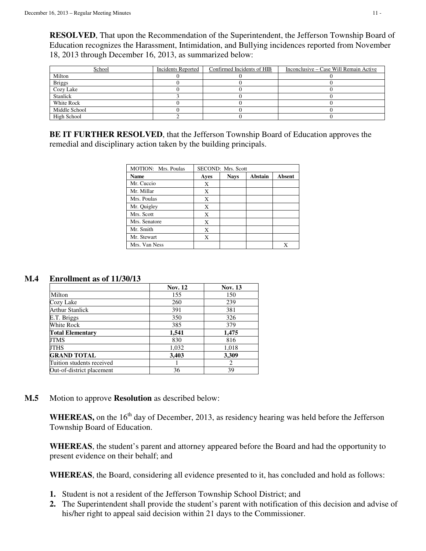**RESOLVED**, That upon the Recommendation of the Superintendent, the Jefferson Township Board of Education recognizes the Harassment, Intimidation, and Bullying incidences reported from November 18, 2013 through December 16, 2013, as summarized below:

| School            | Incidents Reported | Confirmed Incidents of HIB | Inconclusive – Case Will Remain Active |
|-------------------|--------------------|----------------------------|----------------------------------------|
| Milton            |                    |                            |                                        |
| <b>Briggs</b>     |                    |                            |                                        |
| Cozy Lake         |                    |                            |                                        |
| Stanlick          |                    |                            |                                        |
| <b>White Rock</b> |                    |                            |                                        |
| Middle School     |                    |                            |                                        |
| High School       |                    |                            |                                        |

**BE IT FURTHER RESOLVED**, that the Jefferson Township Board of Education approves the remedial and disciplinary action taken by the building principals.

| MOTION: Mrs. Poulas | SECOND: Mrs. Scott |             |                |        |  |  |  |
|---------------------|--------------------|-------------|----------------|--------|--|--|--|
| <b>Name</b>         | Ayes               | <b>Nays</b> | <b>Abstain</b> | Absent |  |  |  |
| Mr. Cuccio          | X                  |             |                |        |  |  |  |
| Mr. Millar          | X                  |             |                |        |  |  |  |
| Mrs. Poulas         | X                  |             |                |        |  |  |  |
| Mr. Quigley         | X                  |             |                |        |  |  |  |
| Mrs. Scott          | X                  |             |                |        |  |  |  |
| Mrs. Senatore       | X                  |             |                |        |  |  |  |
| Mr. Smith           | X                  |             |                |        |  |  |  |
| Mr. Stewart         | X                  |             |                |        |  |  |  |
| Mrs. Van Ness       |                    |             |                | Х      |  |  |  |

# **M.4 Enrollment as of 11/30/13**

|                           | <b>Nov. 12</b> | <b>Nov. 13</b>              |
|---------------------------|----------------|-----------------------------|
| Milton                    | 155            | 150                         |
| Cozy Lake                 | 260            | 239                         |
| Arthur Stanlick           | 391            | 381                         |
| E.T. Briggs               | 350            | 326                         |
| White Rock                | 385            | 379                         |
| <b>Total Elementary</b>   | 1.541          | 1,475                       |
| JTMS                      | 830            | 816                         |
| JTHS                      | 1,032          | 1,018                       |
| <b>GRAND TOTAL</b>        | 3,403          | 3,309                       |
| Tuition students received |                | $\mathcal{D}_{\mathcal{L}}$ |
| Out-of-district placement | 36             | 39                          |

**M.5** Motion to approve **Resolution** as described below:

**WHEREAS,** on the 16<sup>th</sup> day of December, 2013, as residency hearing was held before the Jefferson Township Board of Education.

**WHEREAS**, the student's parent and attorney appeared before the Board and had the opportunity to present evidence on their behalf; and

**WHEREAS**, the Board, considering all evidence presented to it, has concluded and hold as follows:

- **1.** Student is not a resident of the Jefferson Township School District; and
- **2.** The Superintendent shall provide the student's parent with notification of this decision and advise of his/her right to appeal said decision within 21 days to the Commissioner.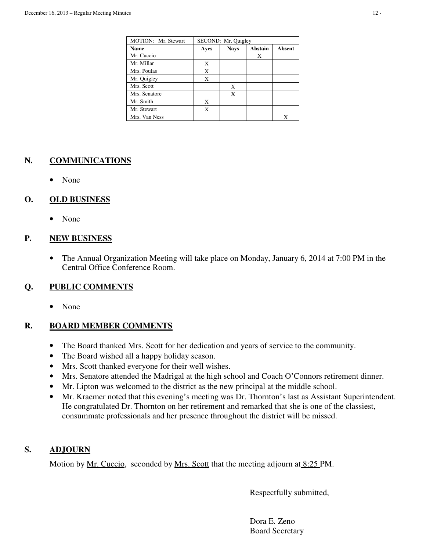| MOTION: Mr. Stewart | SECOND: Mr. Quigley |             |                |        |  |  |
|---------------------|---------------------|-------------|----------------|--------|--|--|
| <b>Name</b>         | Ayes                | <b>Nays</b> | <b>Abstain</b> | Absent |  |  |
| Mr. Cuccio          |                     |             | X              |        |  |  |
| Mr. Millar          | Х                   |             |                |        |  |  |
| Mrs. Poulas         | X                   |             |                |        |  |  |
| Mr. Quigley         | X                   |             |                |        |  |  |
| Mrs. Scott          |                     | X           |                |        |  |  |
| Mrs. Senatore       |                     | X           |                |        |  |  |
| Mr. Smith           | X                   |             |                |        |  |  |
| Mr. Stewart         | Х                   |             |                |        |  |  |
| Mrs. Van Ness       |                     |             |                | X      |  |  |

# **N. COMMUNICATIONS**

• None

# **O. OLD BUSINESS**

• None

# **P. NEW BUSINESS**

• The Annual Organization Meeting will take place on Monday, January 6, 2014 at 7:00 PM in the Central Office Conference Room.

# **Q. PUBLIC COMMENTS**

• None

# **R. BOARD MEMBER COMMENTS**

- The Board thanked Mrs. Scott for her dedication and years of service to the community.
- The Board wished all a happy holiday season.
- Mrs. Scott thanked everyone for their well wishes.
- Mrs. Senatore attended the Madrigal at the high school and Coach O'Connors retirement dinner.
- Mr. Lipton was welcomed to the district as the new principal at the middle school.
- Mr. Kraemer noted that this evening's meeting was Dr. Thornton's last as Assistant Superintendent. He congratulated Dr. Thornton on her retirement and remarked that she is one of the classiest, consummate professionals and her presence throughout the district will be missed.

# **S. ADJOURN**

Motion by <u>Mr. Cuccio</u>, seconded by <u>Mrs. Scott</u> that the meeting adjourn at 8:25 PM.

Respectfully submitted,

 Dora E. Zeno Board Secretary